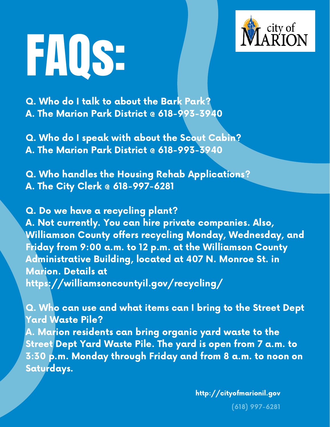

FAQS.

Q. Who do <sup>I</sup> talk to about the Bark Park? A. The Marion Park District @ 618-993-3940

Q. Who do <sup>I</sup> speak with about the Scout Cabin? A. The Marion Park District @ 618-993-3940

Q. Who handles the Housing Rehab Applications? A. The City Clerk @ 618-997-6281

Q. Do we have a recycling plant? A. Not currently. You can hire private companies. Also, Williamson County offers recycling Monday, Wednesday, and Friday from 9:00 a.m. to 12 p.m. at the Williamson County Administrative Building, located at 407 N. Monroe St. in Marion. Details at <https://williamsoncountyil.gov/recycling/>

Q. Who can use and what items can <sup>I</sup> bring to the Street Dept Yard Waste Pile? A. Marion residents can bring organic yard waste to the Street Dept Yard Waste Pile. The yard is open from 7 a.m. to 3:30 p.m. Monday through Friday and from 8 a.m. to noon on Saturdays.

http://cityofmarionil.gov

(618) 997-6281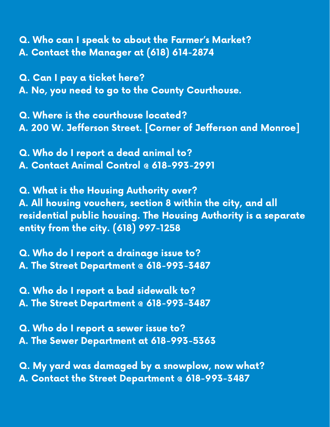Q. Who can I speak to about the Farmer's Market? A. Contact the Manager at (618) 614-2874

Q. Can I pay a ticket here? A. No, you need to go to the County Courthouse.

Q. Where is the courthouse located? A. 200 W. Jefferson Street. [Corner of Jefferson and Monroe]

Q. Who do I report a dead animal to? A. Contact Animal Control @ 618-993-2991

Q. What is the Housing Authority over? A. All housing vouchers, section 8 within the city, and all residential public housing. The Housing Authority is a separate entity from the city. (618) 997-1258

Q. Who do I report a drainage issue to? A. The Street Department @ 618-993-3487

Q. Who do I report a bad sidewalk to? A. The Street Department @ 618-993-3487

Q. Who do I report a sewer issue to? A. The Sewer Department at 618-993-5363

Q. My yard was damaged by a snowplow, now what? A. Contact the Street Department @ 618-993-3487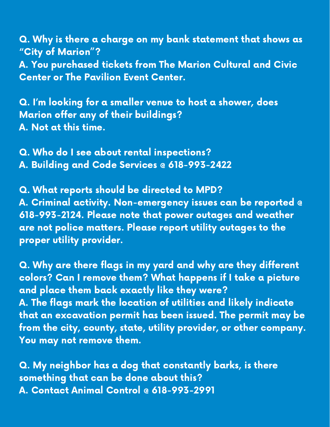Q. Why is there a charge on my bank statement that shows as "City of Marion "? A. You purchased tickets from The Marion Cultural and Civic Center or The Pavilion Event Center.

Q. I'm looking for a smaller venue to host a shower, does Marion offer any of their buildings? A. Not at this time.

Q. Who do I see about rental inspections? A. Building and Code Services @ 618-993-2422

Q. What reports should be directed to MPD? A. Criminal activity. Non-emergency issues can be reported @ 618-993-2124. Please note that power outages and weather are not police matters. Please report utility outages to the proper utility provider.

Q. Why are there flags in my yard and why are they different colors? Can I remove them? What happens if I take a picture and place them back exactly like they were? A. The flags mark the location of utilities and likely indicate that an excavation permit has been issued. The permit may be from the city, county, state, utility provider, or other company. You may not remove them.

Q. My neighbor has a dog that constantly barks, is there something that can be done about this? A. Contact Animal Control @ 618-993-2991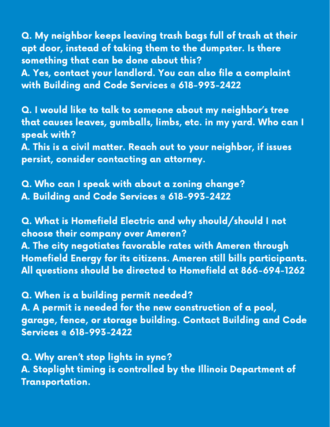Q. My neighbor keeps leaving trash bags full of trash at their apt door, instead of taking them to the dumpster. Is there something that can be done about this? A. Yes, contact your landlord. You can also file a complaint with Building and Code Services @ 618-993-2422

Q. I would like to talk to someone about my neighbor's tree that causes leaves, gumballs, limbs, etc. in my yard. Who can I speak with?

A. This is a civil matter. Reach out to your neighbor, if issues persist, consider contacting an attorney.

Q. Who can I speak with about a zoning change? A. Building and Code Services @ 618-993-2422

Q. What is Homefield Electric and why should/should I not choose their company over Ameren? A. The city negotiates favorable rates with Ameren through Homefield Energy for its citizens. Ameren still bills participants. All questions should be directed to Homefield at 866-694-1262

Q. When is a building permit needed? A. A permit is needed for the new construction of a pool, garage, fence, or storage building. Contact Building and Code Services @ 618-993-2422

Q. Why aren't stop lights in sync? A. Stoplight timing is controlled by the Illinois Department of Transportation.